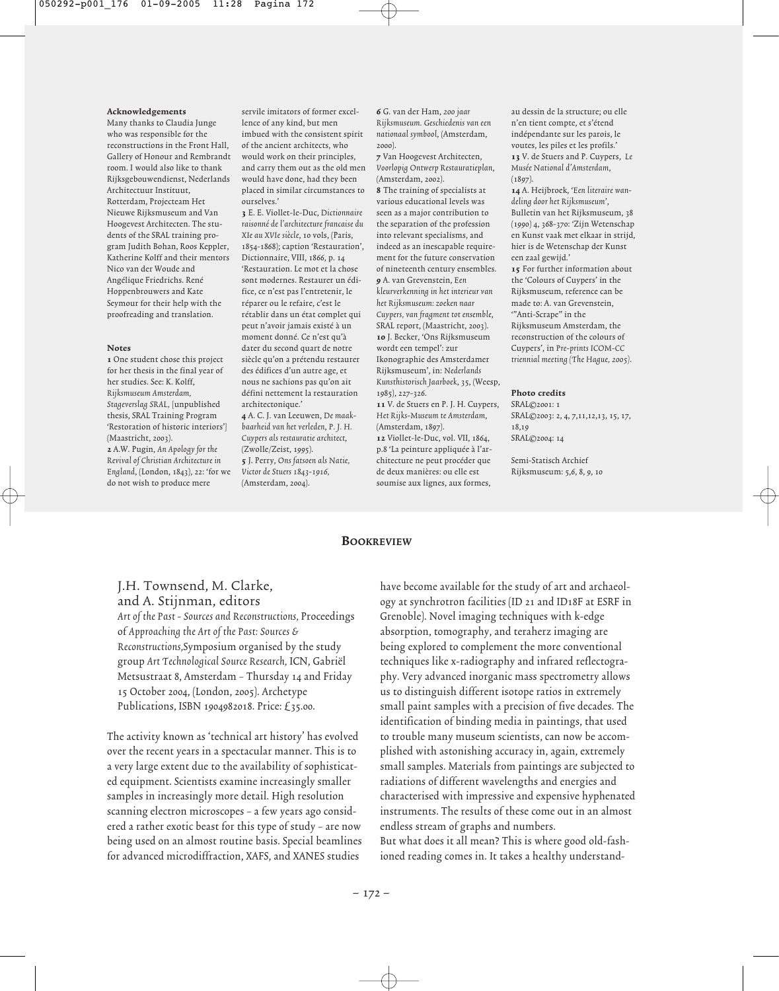#### Acknowledgements

Many thanks to Claudia Junge who was responsible for the reconstructions in the Front Hall, Gallery of Honour and Rembrandt room. I would also like to thank Rijksgebouwendienst, Nederlands Architectuur Instituut, Rotterdam, Projecteam Het Nieuwe Rijksmuseum and Van Hoogevest Architecten. The students of the SRAL training program Judith Bohan, Roos Keppler, Katherine Kolff and their mentors Nico van der Woude and Angélique Friedrichs. René Hoppenbrouwers and Kate Seymour for their help with the proofreading and translation.

#### Notes

1 One student chose this project for her thesis in the final year of her studies. See: K. Kolff, Rijksmuseum Amsterdam, Stageverslag SRAL, [unpublished thesis, SRAL Training Program 'Restoration of historic interiors'] (Maastricht, 2003). 2 A.W. Pugin, An Apology for the Revival of Christian Architecture in England, (London, 1843), 22: 'for we do not wish to produce mere

servile imitators of former excellence of any kind, but men imbued with the consistent spirit of the ancient architects, who would work on their principles, and carry them out as the old men would have done, had they been placed in similar circumstances to ourselves.'

3 E. E. Viollet-le-Duc, Dictionnaire raisonné de l'architecture francaise du XIe au XVIe siècle, 10 vols, (Paris, 1854-1868); caption 'Restauration', Dictionnaire, VIII, 1866, p. 14 'Restauration. Le mot et la chose sont modernes. Restaurer un édifice, ce n'est pas l'entretenir, le réparer ou le refaire, c'est le rétablir dans un état complet qui peut n'avoir jamais existé à un moment donné. Ce n'est qu'à dater du second quart de notre siècle qu'on a prétendu restaurer des édifices d'un autre age, et nous ne sachions pas qu'on ait défini nettement la restauration architectonique.' 4 A. C. J. van Leeuwen, De maak-

baarheid van het verleden, P. J. H. Cuypers als restauratie architect, (Zwolle/Zeist, 1995). 5 J. Perry, Ons fatsoen als Natie, Victor de Stuers 1843-1916, (Amsterdam, 2004).

6 G. van der Ham, 200 jaar Rijksmuseum. Geschiedenis van een nationaal symbool, (Amsterdam, 2000).

7 Van Hoogevest Architecten, Voorlopig Ontwerp Restauratieplan, (Amsterdam, 2002).

8 The training of specialists at various educational levels was seen as a major contribution to the separation of the profession into relevant specialisms, and indeed as an inescapable requirement for the future conservation of nineteenth century ensembles. 9 A. van Grevenstein, Een kleurverkenning in het interieur van het Rijksmuseum: zoeken naar Cuypers, van fragment tot ensemble, SRAL report, (Maastricht, 2003). 10 J. Becker, 'Ons Rijksmuseum wordt een tempel': zur Ikonographie des Amsterdamer Rijksmuseum', in: Nederlands Kunsthistorisch Jaarboek, 35, (Weesp,

1985), 227-326. 11 V. de Stuers en P. J. H. Cuypers, Het Rijks-Museum te Amsterdam, (Amsterdam, 1897). 12 Viollet-le-Duc, vol. VII, 1864, p.8 'La peinture appliquée à l'architecture ne peut procéder que de deux manières: ou elle est soumise aux lignes, aux formes,

au dessin de la structure; ou elle n'en tient compte, et s'étend indépendante sur les parois, le voutes, les piles et les profils.' 13 V. de Stuers and P. Cuypers, Le Musée National d'Amsterdam,  $(1897)$ 

14 A. Heijbroek, 'Een literaire wandeling door het Rijksmuseum', Bulletin van het Rijksmuseum, 38 (1990) 4, 368-370: 'Zijn Wetenschap en Kunst vaak met elkaar in strijd, hier is de Wetenschap der Kunst een zaal gewijd.'

15 For further information about the 'Colours of Cuypers' in the Rijksmuseum, reference can be made to: A. van Grevenstein, '"Anti-Scrape" in the

Rijksmuseum Amsterdam, the reconstruction of the colours of Cuypers', in Pre-prints ICOM-CC triennial meeting (The Hague, 2005).

#### Photo credits

SRAL©2001: 1 SRAL©2003: 2, 4, 7,11,12,13, 15, 17, 18,19 SRAL©2004: 14

Semi-Statisch Archief Rijksmuseum: 5,6, 8, 9, 10

#### **BOOKREVIEW**

# J.H. Townsend, M. Clarke, and A. Stijnman, editors

Art of the Past - Sources and Reconstructions, Proceedings of Approaching the Art of the Past: Sources & Reconstructions,Symposium organised by the study group Art Technological Source Research, ICN, Gabriël Metsustraat 8, Amsterdam – Thursday 14 and Friday 15 October 2004, (London, 2005). Archetype Publications, ISBN 1904982018. Price: £35.00.

The activity known as 'technical art history' has evolved over the recent years in a spectacular manner. This is to a very large extent due to the availability of sophisticated equipment. Scientists examine increasingly smaller samples in increasingly more detail. High resolution scanning electron microscopes – a few years ago considered a rather exotic beast for this type of study – are now being used on an almost routine basis. Special beamlines for advanced microdiffraction, XAFS, and XANES studies

have become available for the study of art and archaeology at synchrotron facilities (ID 21 and ID18F at ESRF in Grenoble). Novel imaging techniques with k-edge absorption, tomography, and teraherz imaging are being explored to complement the more conventional techniques like x-radiography and infrared reflectography. Very advanced inorganic mass spectrometry allows us to distinguish different isotope ratios in extremely small paint samples with a precision of five decades. The identification of binding media in paintings, that used to trouble many museum scientists, can now be accomplished with astonishing accuracy in, again, extremely small samples. Materials from paintings are subjected to radiations of different wavelengths and energies and characterised with impressive and expensive hyphenated instruments. The results of these come out in an almost endless stream of graphs and numbers. But what does it all mean? This is where good old-fashioned reading comes in. It takes a healthy understand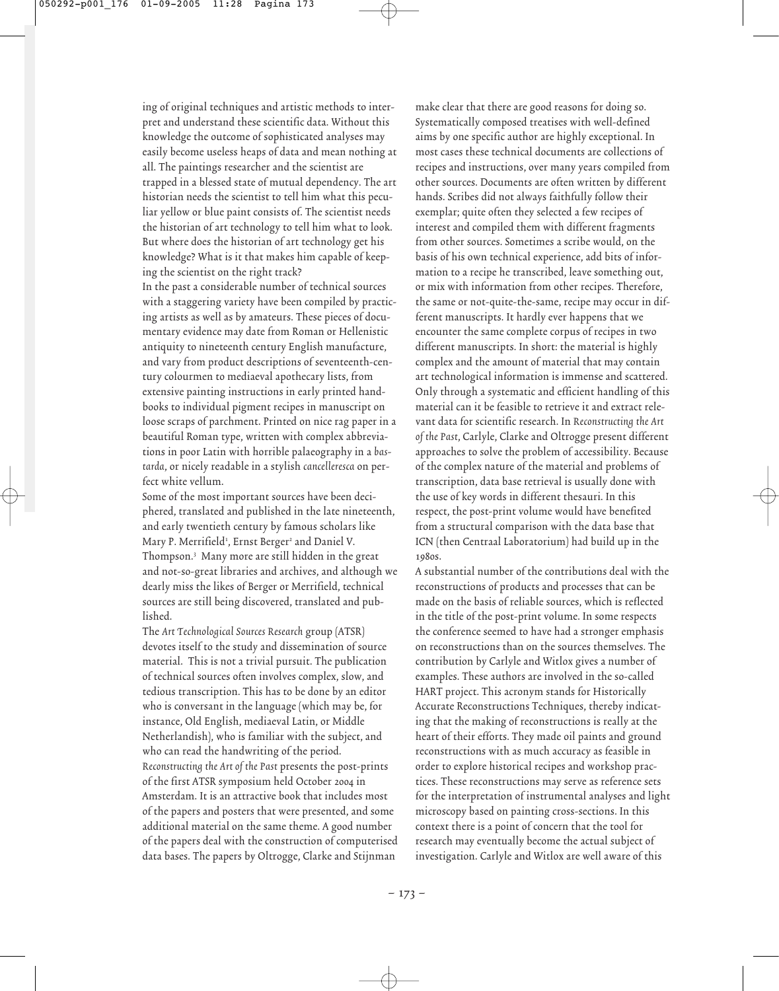ing of original techniques and artistic methods to interpret and understand these scientific data. Without this knowledge the outcome of sophisticated analyses may easily become useless heaps of data and mean nothing at all. The paintings researcher and the scientist are trapped in a blessed state of mutual dependency. The art historian needs the scientist to tell him what this peculiar yellow or blue paint consists of. The scientist needs the historian of art technology to tell him what to look. But where does the historian of art technology get his knowledge? What is it that makes him capable of keeping the scientist on the right track?

In the past a considerable number of technical sources with a staggering variety have been compiled by practicing artists as well as by amateurs. These pieces of documentary evidence may date from Roman or Hellenistic antiquity to nineteenth century English manufacture, and vary from product descriptions of seventeenth-century colourmen to mediaeval apothecary lists, from extensive painting instructions in early printed handbooks to individual pigment recipes in manuscript on loose scraps of parchment. Printed on nice rag paper in a beautiful Roman type, written with complex abbreviations in poor Latin with horrible palaeography in a bastarda, or nicely readable in a stylish cancelleresca on perfect white vellum.

Some of the most important sources have been deciphered, translated and published in the late nineteenth, and early twentieth century by famous scholars like Mary P. Merrifield<sup>1</sup>, Ernst Berger<sup>2</sup> and Daniel V. Thompson.3 Many more are still hidden in the great and not-so-great libraries and archives, and although we dearly miss the likes of Berger or Merrifield, technical sources are still being discovered, translated and published.

The Art Technological Sources Research group (ATSR) devotes itself to the study and dissemination of source material. This is not a trivial pursuit. The publication of technical sources often involves complex, slow, and tedious transcription. This has to be done by an editor who is conversant in the language (which may be, for instance, Old English, mediaeval Latin, or Middle Netherlandish), who is familiar with the subject, and who can read the handwriting of the period. Reconstructing the Art of the Past presents the post-prints of the first ATSR symposium held October 2004 in Amsterdam. It is an attractive book that includes most of the papers and posters that were presented, and some additional material on the same theme. A good number of the papers deal with the construction of computerised data bases. The papers by Oltrogge, Clarke and Stijnman

make clear that there are good reasons for doing so. Systematically composed treatises with well-defined aims by one specific author are highly exceptional. In most cases these technical documents are collections of recipes and instructions, over many years compiled from other sources. Documents are often written by different hands. Scribes did not always faithfully follow their exemplar; quite often they selected a few recipes of interest and compiled them with different fragments from other sources. Sometimes a scribe would, on the basis of his own technical experience, add bits of information to a recipe he transcribed, leave something out, or mix with information from other recipes. Therefore, the same or not-quite-the-same, recipe may occur in different manuscripts. It hardly ever happens that we encounter the same complete corpus of recipes in two different manuscripts. In short: the material is highly complex and the amount of material that may contain art technological information is immense and scattered. Only through a systematic and efficient handling of this material can it be feasible to retrieve it and extract relevant data for scientific research. In Reconstructing the Art of the Past, Carlyle, Clarke and Oltrogge present different approaches to solve the problem of accessibility. Because of the complex nature of the material and problems of transcription, data base retrieval is usually done with the use of key words in different thesauri. In this respect, the post-print volume would have benefited from a structural comparison with the data base that ICN (then Centraal Laboratorium) had build up in the 1980s.

A substantial number of the contributions deal with the reconstructions of products and processes that can be made on the basis of reliable sources, which is reflected in the title of the post-print volume. In some respects the conference seemed to have had a stronger emphasis on reconstructions than on the sources themselves. The contribution by Carlyle and Witlox gives a number of examples. These authors are involved in the so-called HART project. This acronym stands for Historically Accurate Reconstructions Techniques, thereby indicating that the making of reconstructions is really at the heart of their efforts. They made oil paints and ground reconstructions with as much accuracy as feasible in order to explore historical recipes and workshop practices. These reconstructions may serve as reference sets for the interpretation of instrumental analyses and light microscopy based on painting cross-sections. In this context there is a point of concern that the tool for research may eventually become the actual subject of investigation. Carlyle and Witlox are well aware of this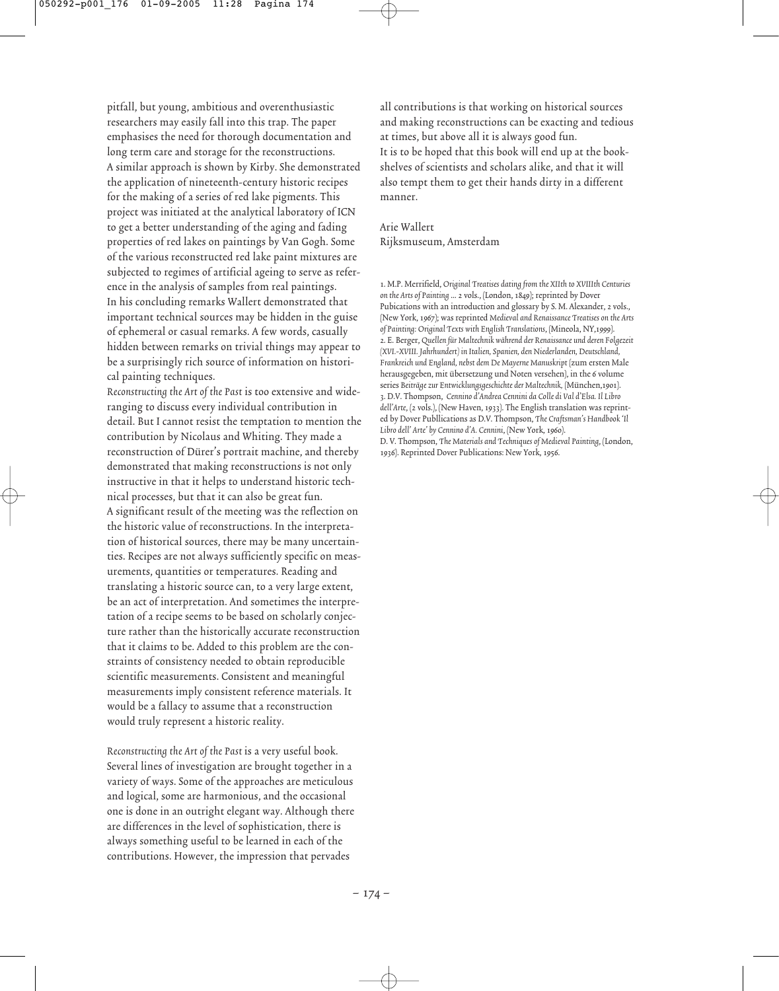pitfall, but young, ambitious and overenthusiastic researchers may easily fall into this trap. The paper emphasises the need for thorough documentation and long term care and storage for the reconstructions. A similar approach is shown by Kirby. She demonstrated the application of nineteenth-century historic recipes for the making of a series of red lake pigments. This project was initiated at the analytical laboratory of ICN to get a better understanding of the aging and fading properties of red lakes on paintings by Van Gogh. Some of the various reconstructed red lake paint mixtures are subjected to regimes of artificial ageing to serve as reference in the analysis of samples from real paintings. In his concluding remarks Wallert demonstrated that important technical sources may be hidden in the guise of ephemeral or casual remarks. A few words, casually hidden between remarks on trivial things may appear to be a surprisingly rich source of information on historical painting techniques.

Reconstructing the Art of the Past is too extensive and wideranging to discuss every individual contribution in detail. But I cannot resist the temptation to mention the contribution by Nicolaus and Whiting. They made a reconstruction of Dürer's portrait machine, and thereby demonstrated that making reconstructions is not only instructive in that it helps to understand historic technical processes, but that it can also be great fun. A significant result of the meeting was the reflection on the historic value of reconstructions. In the interpretation of historical sources, there may be many uncertainties. Recipes are not always sufficiently specific on measurements, quantities or temperatures. Reading and translating a historic source can, to a very large extent, be an act of interpretation. And sometimes the interpretation of a recipe seems to be based on scholarly conjecture rather than the historically accurate reconstruction that it claims to be. Added to this problem are the constraints of consistency needed to obtain reproducible scientific measurements. Consistent and meaningful measurements imply consistent reference materials. It would be a fallacy to assume that a reconstruction would truly represent a historic reality.

Reconstructing the Art of the Past is a very useful book. Several lines of investigation are brought together in a variety of ways. Some of the approaches are meticulous and logical, some are harmonious, and the occasional one is done in an outright elegant way. Although there are differences in the level of sophistication, there is always something useful to be learned in each of the contributions. However, the impression that pervades

all contributions is that working on historical sources and making reconstructions can be exacting and tedious at times, but above all it is always good fun. It is to be hoped that this book will end up at the bookshelves of scientists and scholars alike, and that it will also tempt them to get their hands dirty in a different manner.

Arie Wallert Rijksmuseum, Amsterdam

1. M.P. Merrifield, Original Treatises dating from the XIIth to XVIIIth Centuries on the Arts of Painting … 2 vols., (London, 1849); reprinted by Dover Pubications with an introduction and glossary by S. M. Alexander, 2 vols., (New York, 1967); was reprinted Medieval and Renaissance Treatises on the Arts of Painting: Original Texts with English Translations, (Mineola, NY,1999). 2. E. Berger, Quellen für Maltechnik während der Renaissance und deren Folgezeit (XVI.-XVIII. Jahrhundert) in Italien, Spanien, den Niederlanden, Deutschland, Frankreich und England, nebst dem De Mayerne Manuskript (zum ersten Male herausgegeben, mit übersetzung und Noten versehen), in the 6 volume series Beiträge zur Entwicklungsgeschichte der Maltechnik, (München,1901). 3. D.V. Thompson, Cennino d'Andrea Cennini da Colle di Val d'Elsa. Il Libro dell'Arte, (2 vols.), (New Haven, 1933). The English translation was reprinted by Dover Publlications as D.V. Thompson, The Craftsman's Handbook 'Il Libro dell' Arte' by Cennino d'A. Cennini, (New York, 1960). D. V. Thompson, The Materials and Techniques of Medieval Painting, (London, 1936). Reprinted Dover Publications: New York, 1956.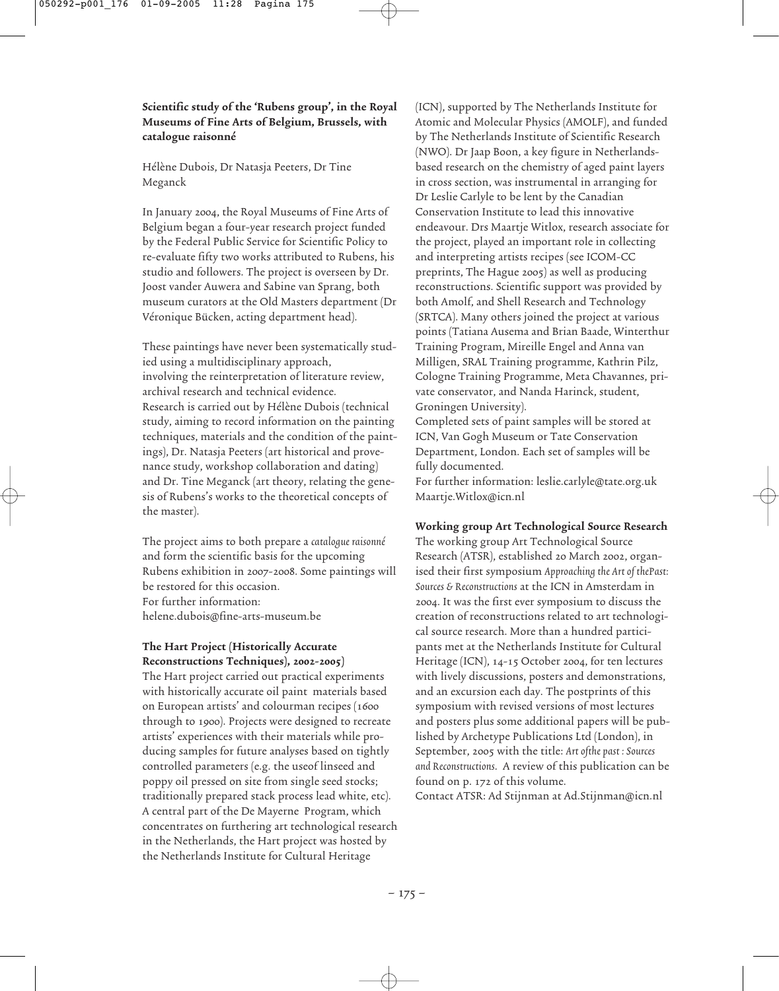## Scientific study of the 'Rubens group', in the Royal Museums of Fine Arts of Belgium, Brussels, with catalogue raisonné

Hélène Dubois, Dr Natasja Peeters, Dr Tine Meganck

In January 2004, the Royal Museums of Fine Arts of Belgium began a four-year research project funded by the Federal Public Service for Scientific Policy to re-evaluate fifty two works attributed to Rubens, his studio and followers. The project is overseen by Dr. Joost vander Auwera and Sabine van Sprang, both museum curators at the Old Masters department (Dr Véronique Bücken, acting department head).

These paintings have never been systematically studied using a multidisciplinary approach, involving the reinterpretation of literature review, archival research and technical evidence. Research is carried out by Hélène Dubois (technical study, aiming to record information on the painting techniques, materials and the condition of the paintings), Dr. Natasja Peeters (art historical and provenance study, workshop collaboration and dating) and Dr. Tine Meganck (art theory, relating the genesis of Rubens's works to the theoretical concepts of the master).

The project aims to both prepare a catalogue raisonné and form the scientific basis for the upcoming Rubens exhibition in 2007-2008. Some paintings will be restored for this occasion. For further information: helene.dubois@fine-arts-museum.be

### The Hart Project (Historically Accurate Reconstructions Techniques), 2002-2005)

The Hart project carried out practical experiments with historically accurate oil paint materials based on European artists' and colourman recipes (1600 through to 1900). Projects were designed to recreate artists' experiences with their materials while producing samples for future analyses based on tightly controlled parameters (e.g. the useof linseed and poppy oil pressed on site from single seed stocks; traditionally prepared stack process lead white, etc). A central part of the De Mayerne Program, which concentrates on furthering art technological research in the Netherlands, the Hart project was hosted by the Netherlands Institute for Cultural Heritage

(ICN), supported by The Netherlands Institute for Atomic and Molecular Physics (AMOLF), and funded by The Netherlands Institute of Scientific Research (NWO). Dr Jaap Boon, a key figure in Netherlandsbased research on the chemistry of aged paint layers in cross section, was instrumental in arranging for Dr Leslie Carlyle to be lent by the Canadian Conservation Institute to lead this innovative endeavour. Drs Maartje Witlox, research associate for the project, played an important role in collecting and interpreting artists recipes (see ICOM-CC preprints, The Hague 2005) as well as producing reconstructions. Scientific support was provided by both Amolf, and Shell Research and Technology (SRTCA). Many others joined the project at various points (Tatiana Ausema and Brian Baade, Winterthur Training Program, Mireille Engel and Anna van Milligen, SRAL Training programme, Kathrin Pilz, Cologne Training Programme, Meta Chavannes, private conservator, and Nanda Harinck, student, Groningen University).

Completed sets of paint samples will be stored at ICN, Van Gogh Museum or Tate Conservation Department, London. Each set of samples will be fully documented.

For further information: leslie.carlyle@tate.org.uk Maartje.Witlox@icn.nl

#### Working group Art Technological Source Research

The working group Art Technological Source Research (ATSR), established 20 March 2002, organised their first symposium Approaching the Art of thePast: Sources & Reconstructions at the ICN in Amsterdam in 2004. It was the first ever symposium to discuss the creation of reconstructions related to art technological source research. More than a hundred participants met at the Netherlands Institute for Cultural Heritage (ICN), 14-15 October 2004, for ten lectures with lively discussions, posters and demonstrations, and an excursion each day. The postprints of this symposium with revised versions of most lectures and posters plus some additional papers will be published by Archetype Publications Ltd (London), in September, 2005 with the title: Art ofthe past : Sources and Reconstructions. A review of this publication can be found on p. 172 of this volume.

Contact ATSR: Ad Stijnman at Ad.Stijnman@icn.nl